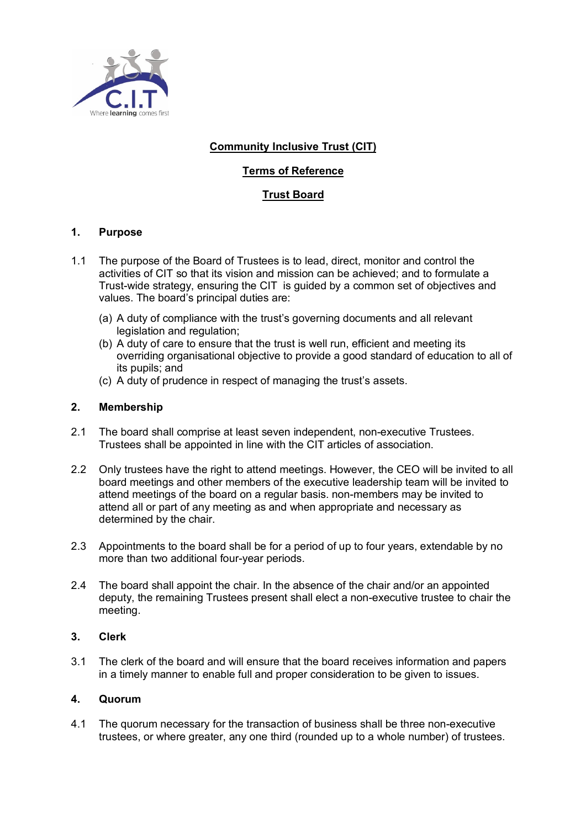

# **Community Inclusive Trust (CIT)**

# **Terms of Reference**

## **Trust Board**

## **1. Purpose**

- 1.1 The purpose of the Board of Trustees is to lead, direct, monitor and control the activities of CIT so that its vision and mission can be achieved; and to formulate a Trust-wide strategy, ensuring the CIT is guided by a common set of objectives and values. The board's principal duties are:
	- (a) A duty of compliance with the trust's governing documents and all relevant legislation and regulation;
	- (b) A duty of care to ensure that the trust is well run, efficient and meeting its overriding organisational objective to provide a good standard of education to all of its pupils; and
	- (c) A duty of prudence in respect of managing the trust's assets.

## **2. Membership**

- 2.1 The board shall comprise at least seven independent, non-executive Trustees. Trustees shall be appointed in line with the CIT articles of association.
- 2.2 Only trustees have the right to attend meetings. However, the CEO will be invited to all board meetings and other members of the executive leadership team will be invited to attend meetings of the board on a regular basis. non-members may be invited to attend all or part of any meeting as and when appropriate and necessary as determined by the chair.
- 2.3 Appointments to the board shall be for a period of up to four years, extendable by no more than two additional four-year periods.
- 2.4 The board shall appoint the chair. In the absence of the chair and/or an appointed deputy, the remaining Trustees present shall elect a non-executive trustee to chair the meeting.

## **3. Clerk**

3.1 The clerk of the board and will ensure that the board receives information and papers in a timely manner to enable full and proper consideration to be given to issues.

## **4. Quorum**

4.1 The quorum necessary for the transaction of business shall be three non-executive trustees, or where greater, any one third (rounded up to a whole number) of trustees.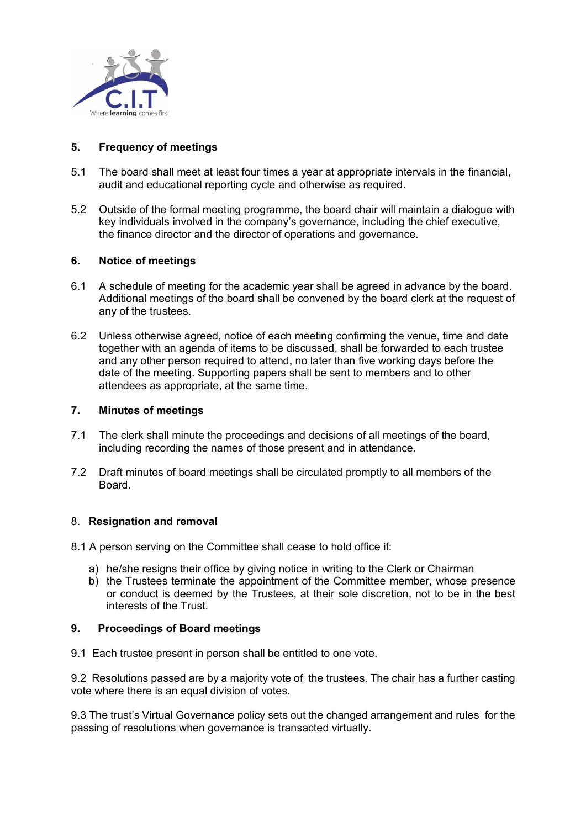

## **5. Frequency of meetings**

- 5.1 The board shall meet at least four times a year at appropriate intervals in the financial, audit and educational reporting cycle and otherwise as required.
- 5.2 Outside of the formal meeting programme, the board chair will maintain a dialogue with key individuals involved in the company's governance, including the chief executive, the finance director and the director of operations and governance.

## **6. Notice of meetings**

- 6.1 A schedule of meeting for the academic year shall be agreed in advance by the board. Additional meetings of the board shall be convened by the board clerk at the request of any of the trustees.
- 6.2 Unless otherwise agreed, notice of each meeting confirming the venue, time and date together with an agenda of items to be discussed, shall be forwarded to each trustee and any other person required to attend, no later than five working days before the date of the meeting. Supporting papers shall be sent to members and to other attendees as appropriate, at the same time.

#### **7. Minutes of meetings**

- 7.1 The clerk shall minute the proceedings and decisions of all meetings of the board, including recording the names of those present and in attendance.
- 7.2 Draft minutes of board meetings shall be circulated promptly to all members of the Board.

#### 8. **Resignation and removal**

- 8.1 A person serving on the Committee shall cease to hold office if:
	- a) he/she resigns their office by giving notice in writing to the Clerk or Chairman
	- b) the Trustees terminate the appointment of the Committee member, whose presence or conduct is deemed by the Trustees, at their sole discretion, not to be in the best interests of the Trust.

## **9. Proceedings of Board meetings**

9.1 Each trustee present in person shall be entitled to one vote.

9.2 Resolutions passed are by a majority vote of the trustees. The chair has a further casting vote where there is an equal division of votes.

9.3 The trust's Virtual Governance policy sets out the changed arrangement and rules for the passing of resolutions when governance is transacted virtually.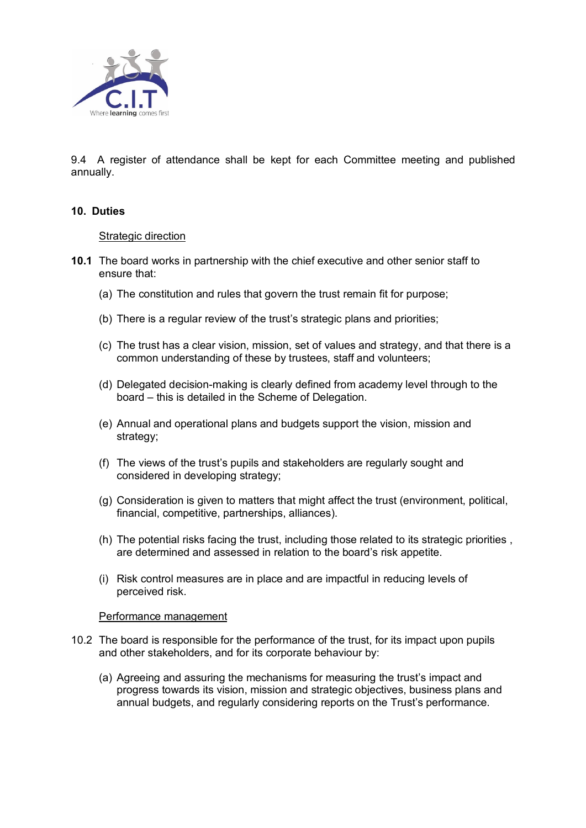

9.4 A register of attendance shall be kept for each Committee meeting and published annually.

### **10. Duties**

#### Strategic direction

- **10.1** The board works in partnership with the chief executive and other senior staff to ensure that:
	- (a) The constitution and rules that govern the trust remain fit for purpose;
	- (b) There is a regular review of the trust's strategic plans and priorities;
	- (c) The trust has a clear vision, mission, set of values and strategy, and that there is a common understanding of these by trustees, staff and volunteers;
	- (d) Delegated decision-making is clearly defined from academy level through to the board – this is detailed in the Scheme of Delegation.
	- (e) Annual and operational plans and budgets support the vision, mission and strategy;
	- (f) The views of the trust's pupils and stakeholders are regularly sought and considered in developing strategy;
	- (g) Consideration is given to matters that might affect the trust (environment, political, financial, competitive, partnerships, alliances).
	- (h) The potential risks facing the trust, including those related to its strategic priorities , are determined and assessed in relation to the board's risk appetite.
	- (i) Risk control measures are in place and are impactful in reducing levels of perceived risk.

#### Performance management

- 10.2 The board is responsible for the performance of the trust, for its impact upon pupils and other stakeholders, and for its corporate behaviour by:
	- (a) Agreeing and assuring the mechanisms for measuring the trust's impact and progress towards its vision, mission and strategic objectives, business plans and annual budgets, and regularly considering reports on the Trust's performance.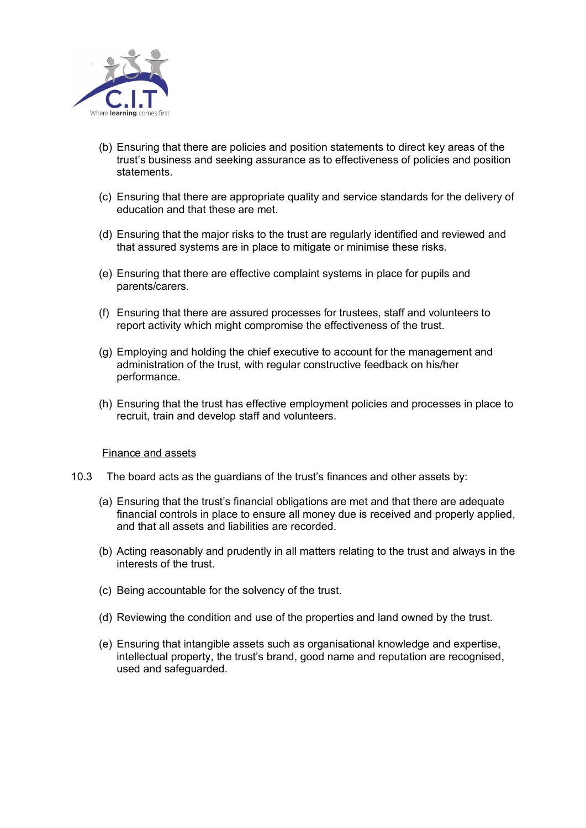

- (b) Ensuring that there are policies and position statements to direct key areas of the trust's business and seeking assurance as to effectiveness of policies and position statements.
- (c) Ensuring that there are appropriate quality and service standards for the delivery of education and that these are met.
- (d) Ensuring that the major risks to the trust are regularly identified and reviewed and that assured systems are in place to mitigate or minimise these risks.
- (e) Ensuring that there are effective complaint systems in place for pupils and parents/carers.
- (f) Ensuring that there are assured processes for trustees, staff and volunteers to report activity which might compromise the effectiveness of the trust.
- (g) Employing and holding the chief executive to account for the management and administration of the trust, with regular constructive feedback on his/her performance.
- (h) Ensuring that the trust has effective employment policies and processes in place to recruit, train and develop staff and volunteers.

#### Finance and assets

- 10.3 The board acts as the guardians of the trust's finances and other assets by:
	- (a) Ensuring that the trust's financial obligations are met and that there are adequate financial controls in place to ensure all money due is received and properly applied, and that all assets and liabilities are recorded.
	- (b) Acting reasonably and prudently in all matters relating to the trust and always in the interests of the trust.
	- (c) Being accountable for the solvency of the trust.
	- (d) Reviewing the condition and use of the properties and land owned by the trust.
	- (e) Ensuring that intangible assets such as organisational knowledge and expertise, intellectual property, the trust's brand, good name and reputation are recognised, used and safeguarded.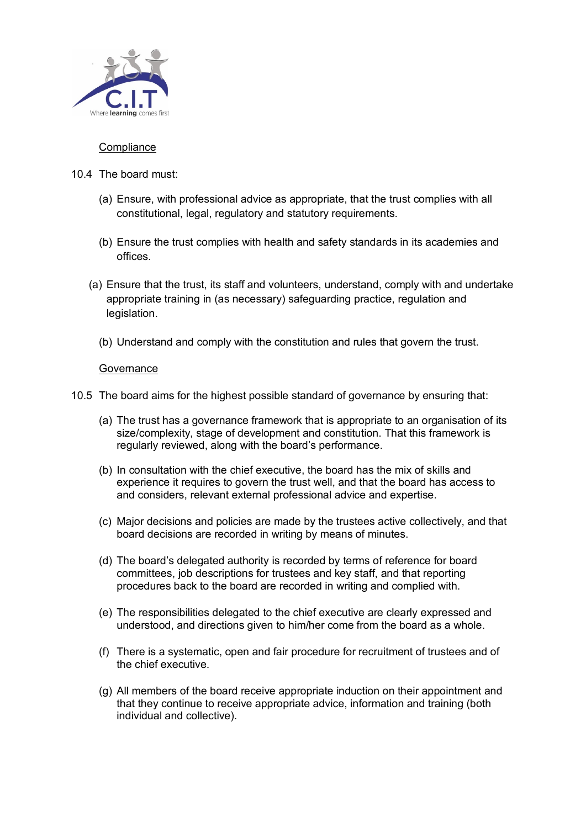

## **Compliance**

- 10.4 The board must:
	- (a) Ensure, with professional advice as appropriate, that the trust complies with all constitutional, legal, regulatory and statutory requirements.
	- (b) Ensure the trust complies with health and safety standards in its academies and offices.
	- (a) Ensure that the trust, its staff and volunteers, understand, comply with and undertake appropriate training in (as necessary) safeguarding practice, regulation and legislation.
		- (b) Understand and comply with the constitution and rules that govern the trust.

### **Governance**

- 10.5 The board aims for the highest possible standard of governance by ensuring that:
	- (a) The trust has a governance framework that is appropriate to an organisation of its size/complexity, stage of development and constitution. That this framework is regularly reviewed, along with the board's performance.
	- (b) In consultation with the chief executive, the board has the mix of skills and experience it requires to govern the trust well, and that the board has access to and considers, relevant external professional advice and expertise.
	- (c) Major decisions and policies are made by the trustees active collectively, and that board decisions are recorded in writing by means of minutes.
	- (d) The board's delegated authority is recorded by terms of reference for board committees, job descriptions for trustees and key staff, and that reporting procedures back to the board are recorded in writing and complied with.
	- (e) The responsibilities delegated to the chief executive are clearly expressed and understood, and directions given to him/her come from the board as a whole.
	- (f) There is a systematic, open and fair procedure for recruitment of trustees and of the chief executive.
	- (g) All members of the board receive appropriate induction on their appointment and that they continue to receive appropriate advice, information and training (both individual and collective).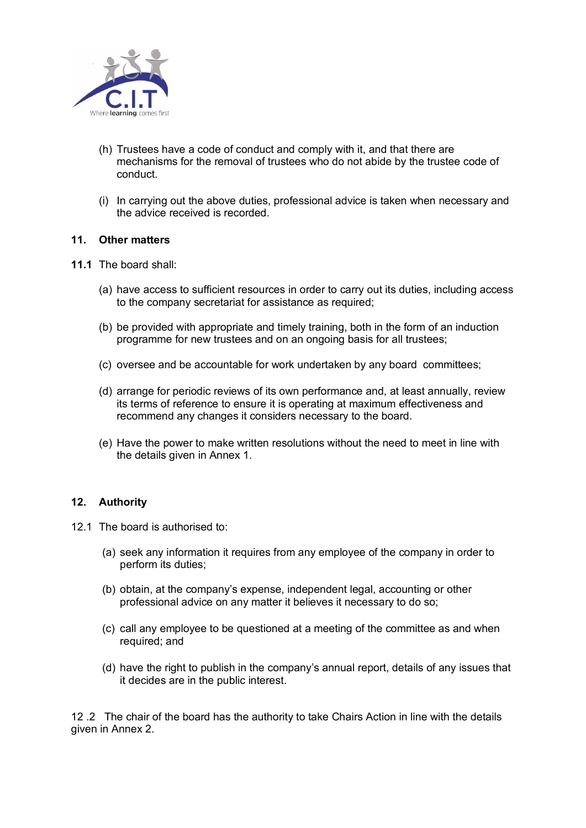

- (h) Trustees have a code of conduct and comply with it, and that there are mechanisms for the removal of trustees who do not abide by the trustee code of conduct.
- (i) In carrying out the above duties, professional advice is taken when necessary and the advice received is recorded.

#### **11. Other matters**

- **11.1** The board shall:
	- (a) have access to sufficient resources in order to carry out its duties, including access to the company secretariat for assistance as required;
	- (b) be provided with appropriate and timely training, both in the form of an induction programme for new trustees and on an ongoing basis for all trustees;
	- (c) oversee and be accountable for work undertaken by any board committees;
	- (d) arrange for periodic reviews of its own performance and, at least annually, review its terms of reference to ensure it is operating at maximum effectiveness and recommend any changes it considers necessary to the board.
	- (e) Have the power to make written resolutions without the need to meet in line with the details given in Annex 1.

## **12. Authority**

- 12.1 The board is authorised to:
	- (a) seek any information it requires from any employee of the company in order to perform its duties;
	- (b) obtain, at the company's expense, independent legal, accounting or other professional advice on any matter it believes it necessary to do so;
	- (c) call any employee to be questioned at a meeting of the committee as and when required; and
	- (d) have the right to publish in the company's annual report, details of any issues that it decides are in the public interest.

12 .2 The chair of the board has the authority to take Chairs Action in line with the details given in Annex 2.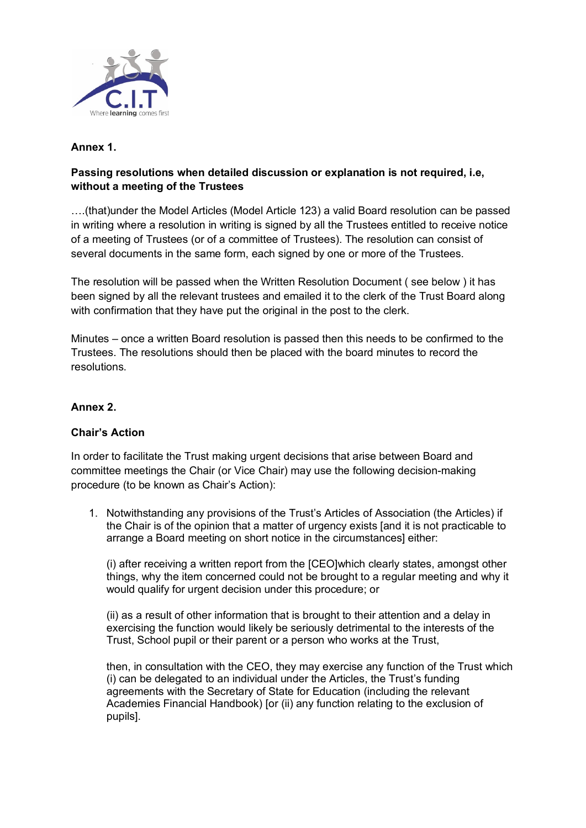

# **Annex 1.**

## **Passing resolutions when detailed discussion or explanation is not required, i.e, without a meeting of the Trustees**

….(that)under the Model Articles (Model Article 123) a valid Board resolution can be passed in writing where a resolution in writing is signed by all the Trustees entitled to receive notice of a meeting of Trustees (or of a committee of Trustees). The resolution can consist of several documents in the same form, each signed by one or more of the Trustees.

The resolution will be passed when the Written Resolution Document ( see below ) it has been signed by all the relevant trustees and emailed it to the clerk of the Trust Board along with confirmation that they have put the original in the post to the clerk.

Minutes – once a written Board resolution is passed then this needs to be confirmed to the Trustees. The resolutions should then be placed with the board minutes to record the resolutions.

## **Annex 2.**

## **Chair's Action**

In order to facilitate the Trust making urgent decisions that arise between Board and committee meetings the Chair (or Vice Chair) may use the following decision-making procedure (to be known as Chair's Action):

1. Notwithstanding any provisions of the Trust's Articles of Association (the Articles) if the Chair is of the opinion that a matter of urgency exists [and it is not practicable to arrange a Board meeting on short notice in the circumstances] either:

(i) after receiving a written report from the [CEO]which clearly states, amongst other things, why the item concerned could not be brought to a regular meeting and why it would qualify for urgent decision under this procedure; or

(ii) as a result of other information that is brought to their attention and a delay in exercising the function would likely be seriously detrimental to the interests of the Trust, School pupil or their parent or a person who works at the Trust,

then, in consultation with the CEO, they may exercise any function of the Trust which (i) can be delegated to an individual under the Articles, the Trust's funding agreements with the Secretary of State for Education (including the relevant Academies Financial Handbook) [or (ii) any function relating to the exclusion of pupils].